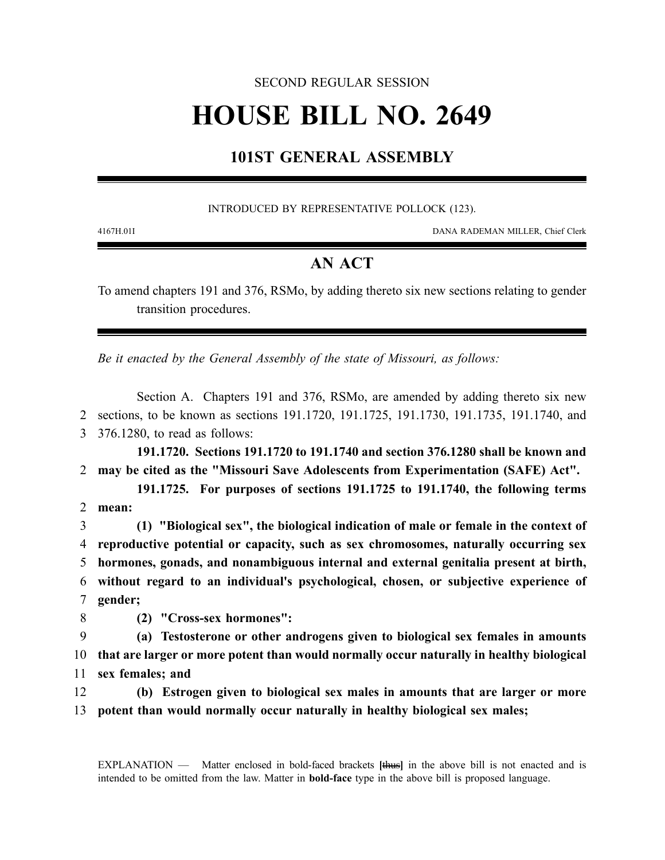## SECOND REGULAR SESSION

# **HOUSE BILL NO. 2649**

# **101ST GENERAL ASSEMBLY**

### INTRODUCED BY REPRESENTATIVE POLLOCK (123).

4167H.01I DANA RADEMAN MILLER, Chief Clerk

## **AN ACT**

To amend chapters 191 and 376, RSMo, by adding thereto six new sections relating to gender transition procedures.

*Be it enacted by the General Assembly of the state of Missouri, as follows:*

Section A. Chapters 191 and 376, RSMo, are amended by adding thereto six new 2 sections, to be known as sections 191.1720, 191.1725, 191.1730, 191.1735, 191.1740, and 3 376.1280, to read as follows:

**191.1720. Sections 191.1720 to 191.1740 and section 376.1280 shall be known and** 2 **may be cited as the "Missouri Save Adolescents from Experimentation (SAFE) Act".**

**191.1725. For purposes of sections 191.1725 to 191.1740, the following terms** 2 **mean:**

 **(1) "Biological sex", the biological indication of male or female in the context of reproductive potential or capacity, such as sex chromosomes, naturally occurring sex hormones, gonads, and nonambiguous internal and external genitalia present at birth, without regard to an individual's psychological, chosen, or subjective experience of** 7 **gender;**

8 **(2) "Cross-sex hormones":**

9 **(a) Testosterone or other androgens given to biological sex females in amounts** 10 **that are larger or more potent than would normally occur naturally in healthy biological** 11 **sex females; and**

12 **(b) Estrogen given to biological sex males in amounts that are larger or more** 13 **potent than would normally occur naturally in healthy biological sex males;**

EXPLANATION — Matter enclosed in bold-faced brackets **[**thus**]** in the above bill is not enacted and is intended to be omitted from the law. Matter in **bold-face** type in the above bill is proposed language.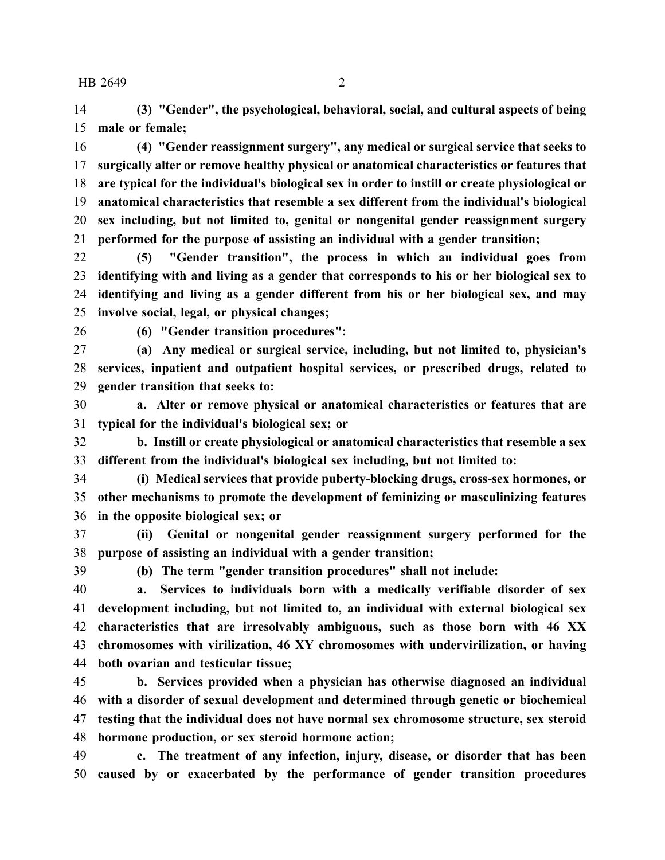**(3) "Gender", the psychological, behavioral, social, and cultural aspects of being male or female;**

 **(4) "Gender reassignment surgery", any medical or surgical service that seeks to surgically alter or remove healthy physical or anatomical characteristics or features that are typical for the individual's biological sex in order to instill or create physiological or anatomical characteristics that resemble a sex different from the individual's biological sex including, but not limited to, genital or nongenital gender reassignment surgery performed for the purpose of assisting an individual with a gender transition;**

 **(5) "Gender transition", the process in which an individual goes from identifying with and living as a gender that corresponds to his or her biological sex to identifying and living as a gender different from his or her biological sex, and may involve social, legal, or physical changes;**

**(6) "Gender transition procedures":**

 **(a) Any medical or surgical service, including, but not limited to, physician's services, inpatient and outpatient hospital services, or prescribed drugs, related to gender transition that seeks to:**

 **a. Alter or remove physical or anatomical characteristics or features that are typical for the individual's biological sex; or**

 **b. Instill or create physiological or anatomical characteristics that resemble a sex different from the individual's biological sex including, but not limited to:**

 **(i) Medical services that provide puberty-blocking drugs, cross-sex hormones, or other mechanisms to promote the development of feminizing or masculinizing features in the opposite biological sex; or**

 **(ii) Genital or nongenital gender reassignment surgery performed for the purpose of assisting an individual with a gender transition;**

**(b) The term "gender transition procedures" shall not include:**

 **a. Services to individuals born with a medically verifiable disorder of sex development including, but not limited to, an individual with external biological sex characteristics that are irresolvably ambiguous, such as those born with 46 XX chromosomes with virilization, 46 XY chromosomes with undervirilization, or having both ovarian and testicular tissue;**

 **b. Services provided when a physician has otherwise diagnosed an individual with a disorder of sexual development and determined through genetic or biochemical testing that the individual does not have normal sex chromosome structure, sex steroid hormone production, or sex steroid hormone action;**

 **c. The treatment of any infection, injury, disease, or disorder that has been caused by or exacerbated by the performance of gender transition procedures**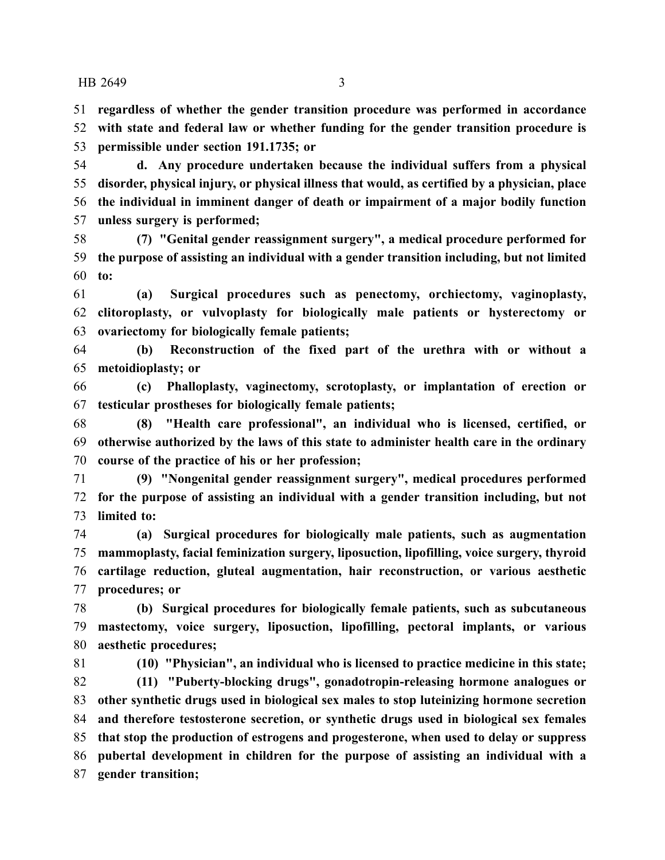**regardless of whether the gender transition procedure was performed in accordance with state and federal law or whether funding for the gender transition procedure is**

**permissible under section 191.1735; or**

 **d. Any procedure undertaken because the individual suffers from a physical disorder, physical injury, or physical illness that would, as certified by a physician, place the individual in imminent danger of death or impairment of a major bodily function unless surgery is performed;**

 **(7) "Genital gender reassignment surgery", a medical procedure performed for the purpose of assisting an individual with a gender transition including, but not limited to:**

 **(a) Surgical procedures such as penectomy, orchiectomy, vaginoplasty, clitoroplasty, or vulvoplasty for biologically male patients or hysterectomy or ovariectomy for biologically female patients;**

 **(b) Reconstruction of the fixed part of the urethra with or without a metoidioplasty; or**

 **(c) Phalloplasty, vaginectomy, scrotoplasty, or implantation of erection or testicular prostheses for biologically female patients;**

 **(8) "Health care professional", an individual who is licensed, certified, or otherwise authorized by the laws of this state to administer health care in the ordinary course of the practice of his or her profession;**

 **(9) "Nongenital gender reassignment surgery", medical procedures performed for the purpose of assisting an individual with a gender transition including, but not limited to:**

 **(a) Surgical procedures for biologically male patients, such as augmentation mammoplasty, facial feminization surgery, liposuction, lipofilling, voice surgery, thyroid cartilage reduction, gluteal augmentation, hair reconstruction, or various aesthetic procedures; or**

 **(b) Surgical procedures for biologically female patients, such as subcutaneous mastectomy, voice surgery, liposuction, lipofilling, pectoral implants, or various aesthetic procedures;**

**(10) "Physician", an individual who is licensed to practice medicine in this state;**

 **(11) "Puberty-blocking drugs", gonadotropin-releasing hormone analogues or other synthetic drugs used in biological sex males to stop luteinizing hormone secretion and therefore testosterone secretion, or synthetic drugs used in biological sex females that stop the production of estrogens and progesterone, when used to delay or suppress pubertal development in children for the purpose of assisting an individual with a gender transition;**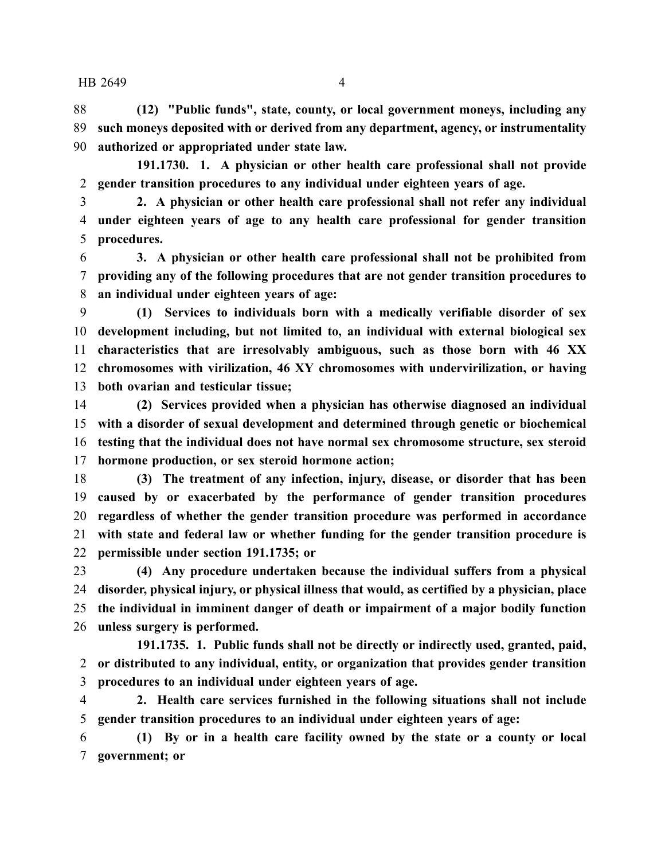**(12) "Public funds", state, county, or local government moneys, including any such moneys deposited with or derived from any department, agency, or instrumentality authorized or appropriated under state law.**

**191.1730. 1. A physician or other health care professional shall not provide gender transition procedures to any individual under eighteen years of age.**

 **2. A physician or other health care professional shall not refer any individual under eighteen years of age to any health care professional for gender transition procedures.**

 **3. A physician or other health care professional shall not be prohibited from providing any of the following procedures that are not gender transition procedures to an individual under eighteen years of age:**

 **(1) Services to individuals born with a medically verifiable disorder of sex development including, but not limited to, an individual with external biological sex characteristics that are irresolvably ambiguous, such as those born with 46 XX chromosomes with virilization, 46 XY chromosomes with undervirilization, or having both ovarian and testicular tissue;**

 **(2) Services provided when a physician has otherwise diagnosed an individual with a disorder of sexual development and determined through genetic or biochemical testing that the individual does not have normal sex chromosome structure, sex steroid hormone production, or sex steroid hormone action;**

 **(3) The treatment of any infection, injury, disease, or disorder that has been caused by or exacerbated by the performance of gender transition procedures regardless of whether the gender transition procedure was performed in accordance with state and federal law or whether funding for the gender transition procedure is permissible under section 191.1735; or**

 **(4) Any procedure undertaken because the individual suffers from a physical disorder, physical injury, or physical illness that would, as certified by a physician, place the individual in imminent danger of death or impairment of a major bodily function unless surgery is performed.**

**191.1735. 1. Public funds shall not be directly or indirectly used, granted, paid, or distributed to any individual, entity, or organization that provides gender transition procedures to an individual under eighteen years of age.**

 **2. Health care services furnished in the following situations shall not include gender transition procedures to an individual under eighteen years of age:**

 **(1) By or in a health care facility owned by the state or a county or local government; or**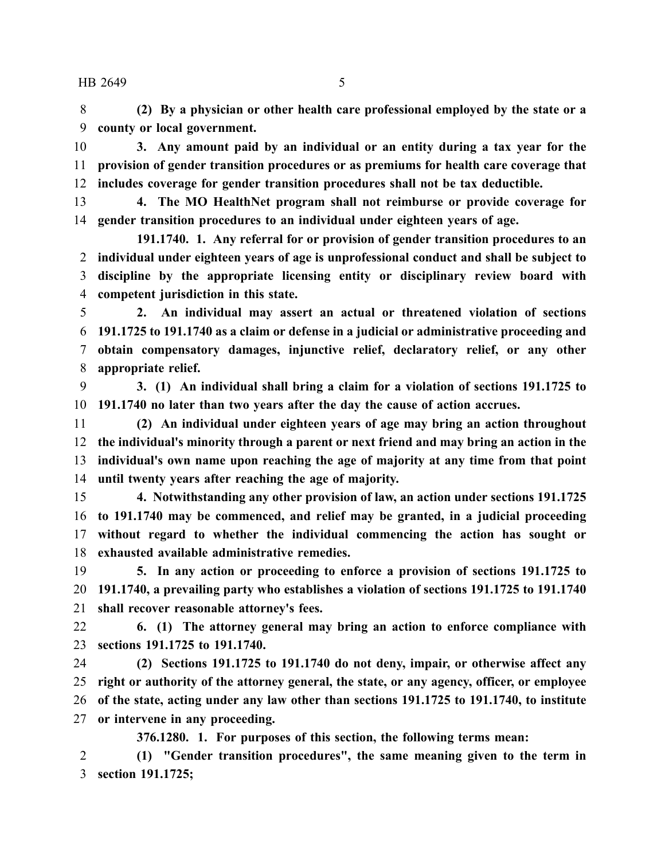**(2) By a physician or other health care professional employed by the state or a county or local government.**

 **3. Any amount paid by an individual or an entity during a tax year for the provision of gender transition procedures or as premiums for health care coverage that includes coverage for gender transition procedures shall not be tax deductible.**

 **4. The MO HealthNet program shall not reimburse or provide coverage for gender transition procedures to an individual under eighteen years of age.**

**191.1740. 1. Any referral for or provision of gender transition procedures to an individual under eighteen years of age is unprofessional conduct and shall be subject to discipline by the appropriate licensing entity or disciplinary review board with competent jurisdiction in this state.**

 **2. An individual may assert an actual or threatened violation of sections 191.1725 to 191.1740 as a claim or defense in a judicial or administrative proceeding and obtain compensatory damages, injunctive relief, declaratory relief, or any other appropriate relief.**

 **3. (1) An individual shall bring a claim for a violation of sections 191.1725 to 191.1740 no later than two years after the day the cause of action accrues.**

 **(2) An individual under eighteen years of age may bring an action throughout the individual's minority through a parent or next friend and may bring an action in the individual's own name upon reaching the age of majority at any time from that point until twenty years after reaching the age of majority.**

 **4. Notwithstanding any other provision of law, an action under sections 191.1725 to 191.1740 may be commenced, and relief may be granted, in a judicial proceeding without regard to whether the individual commencing the action has sought or exhausted available administrative remedies.**

 **5. In any action or proceeding to enforce a provision of sections 191.1725 to 191.1740, a prevailing party who establishes a violation of sections 191.1725 to 191.1740 shall recover reasonable attorney's fees.**

 **6. (1) The attorney general may bring an action to enforce compliance with sections 191.1725 to 191.1740.**

 **(2) Sections 191.1725 to 191.1740 do not deny, impair, or otherwise affect any right or authority of the attorney general, the state, or any agency, officer, or employee of the state, acting under any law other than sections 191.1725 to 191.1740, to institute or intervene in any proceeding.**

**376.1280. 1. For purposes of this section, the following terms mean:**

 **(1) "Gender transition procedures", the same meaning given to the term in section 191.1725;**